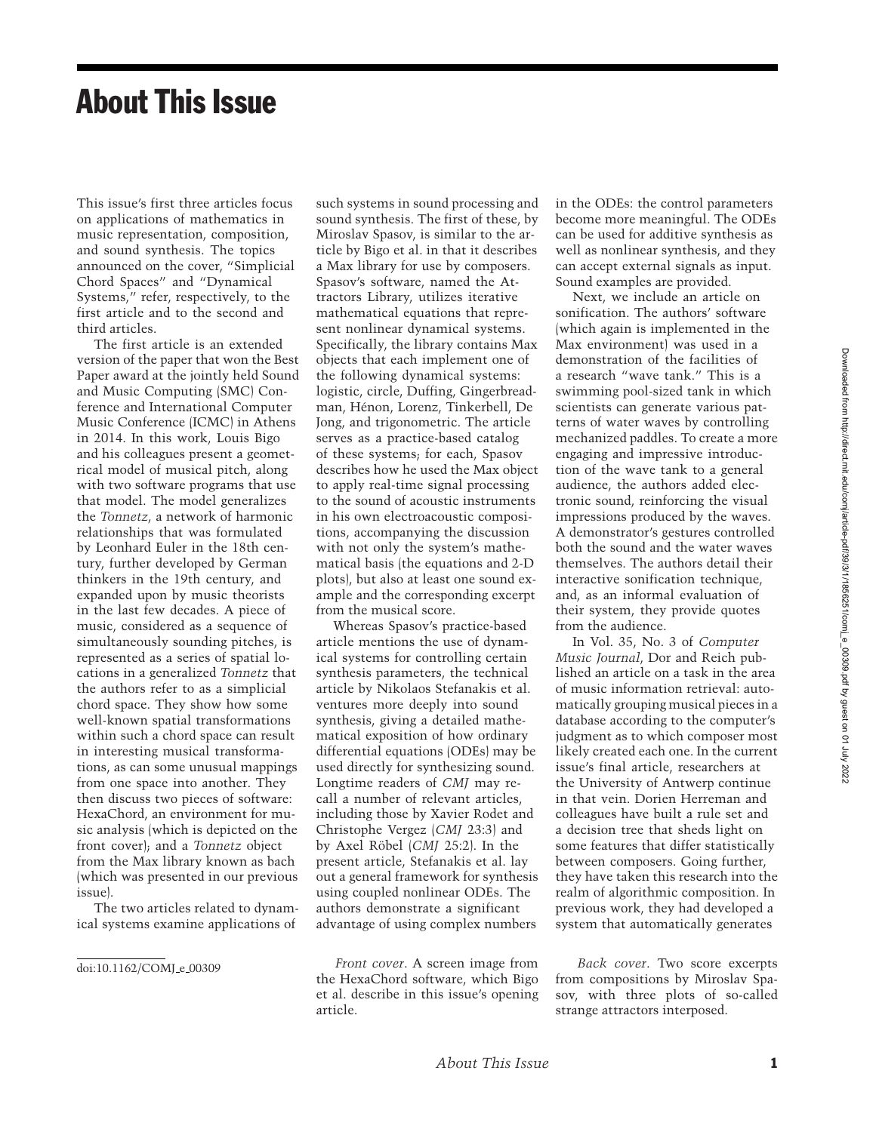## About This Issue

This issue's first three articles focus on applications of mathematics in music representation, composition, and sound synthesis. The topics announced on the cover, "Simplicial Chord Spaces" and "Dynamical Systems," refer, respectively, to the first article and to the second and third articles.

The first article is an extended version of the paper that won the Best Paper award at the jointly held Sound and Music Computing (SMC) Conference and International Computer Music Conference (ICMC) in Athens in 2014. In this work, Louis Bigo and his colleagues present a geometrical model of musical pitch, along with two software programs that use that model. The model generalizes the *Tonnetz*, a network of harmonic relationships that was formulated by Leonhard Euler in the 18th century, further developed by German thinkers in the 19th century, and expanded upon by music theorists in the last few decades. A piece of music, considered as a sequence of simultaneously sounding pitches, is represented as a series of spatial locations in a generalized *Tonnetz* that the authors refer to as a simplicial chord space. They show how some well-known spatial transformations within such a chord space can result in interesting musical transformations, as can some unusual mappings from one space into another. They then discuss two pieces of software: HexaChord, an environment for music analysis (which is depicted on the front cover); and a *Tonnetz* object from the Max library known as bach (which was presented in our previous issue).

The two articles related to dynamical systems examine applications of

doi:10.1162/COMJ\_e\_00309

such systems in sound processing and sound synthesis. The first of these, by Miroslav Spasov, is similar to the article by Bigo et al. in that it describes a Max library for use by composers. Spasov's software, named the Attractors Library, utilizes iterative mathematical equations that represent nonlinear dynamical systems. Specifically, the library contains Max objects that each implement one of the following dynamical systems: logistic, circle, Duffing, Gingerbreadman, Henon, Lorenz, Tinkerbell, De ´ Jong, and trigonometric. The article serves as a practice-based catalog of these systems; for each, Spasov describes how he used the Max object to apply real-time signal processing to the sound of acoustic instruments in his own electroacoustic compositions, accompanying the discussion with not only the system's mathematical basis (the equations and 2-D plots), but also at least one sound example and the corresponding excerpt from the musical score.

Whereas Spasov's practice-based article mentions the use of dynamical systems for controlling certain synthesis parameters, the technical article by Nikolaos Stefanakis et al. ventures more deeply into sound synthesis, giving a detailed mathematical exposition of how ordinary differential equations (ODEs) may be used directly for synthesizing sound. Longtime readers of *CMJ* may recall a number of relevant articles, including those by Xavier Rodet and Christophe Vergez (*CMJ* 23:3) and by Axel Röbel (*CMJ* 25:2). In the present article, Stefanakis et al. lay out a general framework for synthesis using coupled nonlinear ODEs. The authors demonstrate a significant advantage of using complex numbers

*Front cover*. A screen image from the HexaChord software, which Bigo et al. describe in this issue's opening article.

in the ODEs: the control parameters become more meaningful. The ODEs can be used for additive synthesis as well as nonlinear synthesis, and they can accept external signals as input. Sound examples are provided.

Next, we include an article on sonification. The authors' software (which again is implemented in the Max environment) was used in a demonstration of the facilities of a research "wave tank." This is a swimming pool-sized tank in which scientists can generate various patterns of water waves by controlling mechanized paddles. To create a more engaging and impressive introduction of the wave tank to a general audience, the authors added electronic sound, reinforcing the visual impressions produced by the waves. A demonstrator's gestures controlled both the sound and the water waves themselves. The authors detail their interactive sonification technique, and, as an informal evaluation of their system, they provide quotes from the audience.

In Vol. 35, No. 3 of *Computer Music Journal*, Dor and Reich published an article on a task in the area of music information retrieval: automatically grouping musical pieces in a database according to the computer's judgment as to which composer most likely created each one. In the current issue's final article, researchers at the University of Antwerp continue in that vein. Dorien Herreman and colleagues have built a rule set and a decision tree that sheds light on some features that differ statistically between composers. Going further, they have taken this research into the realm of algorithmic composition. In previous work, they had developed a system that automatically generates

*Back cover*. Two score excerpts from compositions by Miroslav Spasov, with three plots of so-called strange attractors interposed.